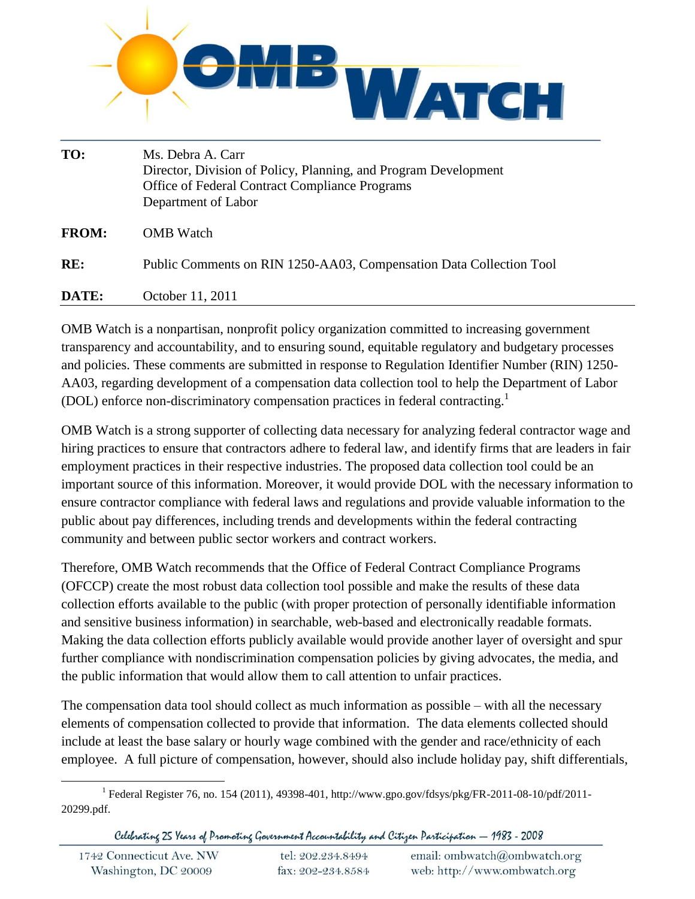

| TO:          | Ms. Debra A. Carr<br>Director, Division of Policy, Planning, and Program Development<br>Office of Federal Contract Compliance Programs<br>Department of Labor |
|--------------|---------------------------------------------------------------------------------------------------------------------------------------------------------------|
| <b>FROM:</b> | <b>OMB</b> Watch                                                                                                                                              |
| RE:          | Public Comments on RIN 1250-AA03, Compensation Data Collection Tool                                                                                           |
| DATE:        | October 11, 2011                                                                                                                                              |

OMB Watch is a nonpartisan, nonprofit policy organization committed to increasing government transparency and accountability, and to ensuring sound, equitable regulatory and budgetary processes and policies. These comments are submitted in response to Regulation Identifier Number (RIN) 1250- AA03, regarding development of a compensation data collection tool to help the Department of Labor (DOL) enforce non-discriminatory compensation practices in federal contracting.<sup>1</sup>

OMB Watch is a strong supporter of collecting data necessary for analyzing federal contractor wage and hiring practices to ensure that contractors adhere to federal law, and identify firms that are leaders in fair employment practices in their respective industries. The proposed data collection tool could be an important source of this information. Moreover, it would provide DOL with the necessary information to ensure contractor compliance with federal laws and regulations and provide valuable information to the public about pay differences, including trends and developments within the federal contracting community and between public sector workers and contract workers.

Therefore, OMB Watch recommends that the Office of Federal Contract Compliance Programs (OFCCP) create the most robust data collection tool possible and make the results of these data collection efforts available to the public (with proper protection of personally identifiable information and sensitive business information) in searchable, web-based and electronically readable formats. Making the data collection efforts publicly available would provide another layer of oversight and spur further compliance with nondiscrimination compensation policies by giving advocates, the media, and the public information that would allow them to call attention to unfair practices.

The compensation data tool should collect as much information as possible – with all the necessary elements of compensation collected to provide that information. The data elements collected should include at least the base salary or hourly wage combined with the gender and race/ethnicity of each employee. A full picture of compensation, however, should also include holiday pay, shift differentials,

 $\overline{\phantom{a}}$ 

Celebrating 25 Years of Promoting Government Accountability and Citizen Participation - 1983 - 2008

<sup>1</sup> Federal Register 76, no. 154 (2011), 49398-401, http://www.gpo.gov/fdsys/pkg/FR-2011-08-10/pdf/2011- 20299.pdf.